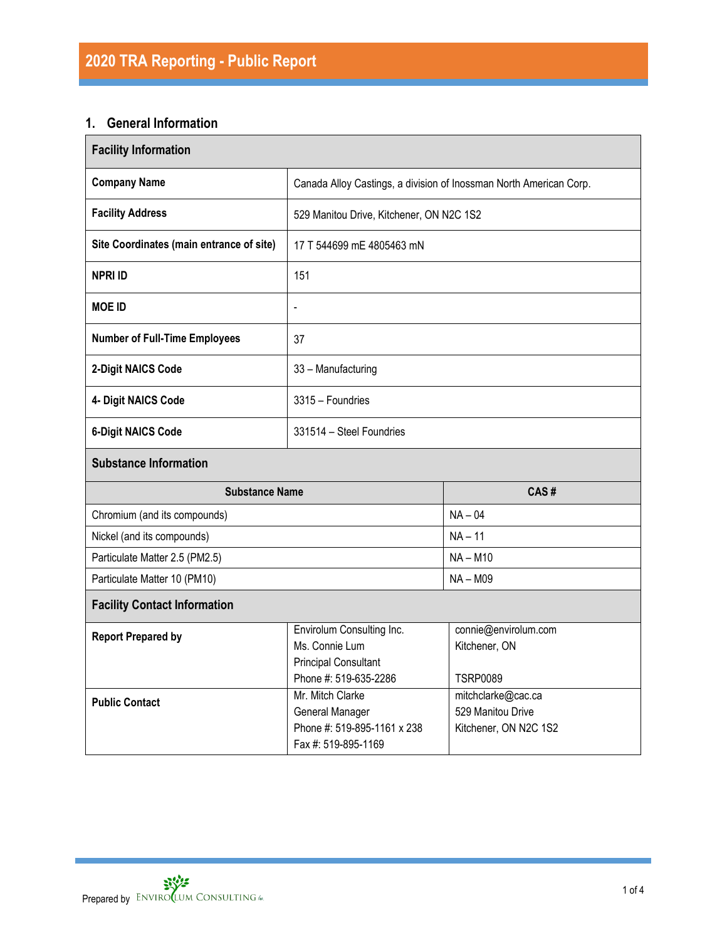# **1. General Information**

| <b>Facility Information</b>              |                                                                                                     |                                                                  |  |  |  |  |
|------------------------------------------|-----------------------------------------------------------------------------------------------------|------------------------------------------------------------------|--|--|--|--|
| <b>Company Name</b>                      | Canada Alloy Castings, a division of Inossman North American Corp.                                  |                                                                  |  |  |  |  |
| <b>Facility Address</b>                  | 529 Manitou Drive, Kitchener, ON N2C 1S2                                                            |                                                                  |  |  |  |  |
| Site Coordinates (main entrance of site) | 17 T 544699 mE 4805463 mN                                                                           |                                                                  |  |  |  |  |
| <b>NPRI ID</b>                           | 151                                                                                                 |                                                                  |  |  |  |  |
| <b>MOE ID</b>                            | $\overline{a}$                                                                                      |                                                                  |  |  |  |  |
| <b>Number of Full-Time Employees</b>     | 37                                                                                                  |                                                                  |  |  |  |  |
| 2-Digit NAICS Code                       | 33 - Manufacturing                                                                                  |                                                                  |  |  |  |  |
| 4- Digit NAICS Code                      | 3315 - Foundries                                                                                    |                                                                  |  |  |  |  |
| <b>6-Digit NAICS Code</b>                | 331514 - Steel Foundries                                                                            |                                                                  |  |  |  |  |
| <b>Substance Information</b>             |                                                                                                     |                                                                  |  |  |  |  |
| <b>Substance Name</b>                    |                                                                                                     | CAS#                                                             |  |  |  |  |
| Chromium (and its compounds)             |                                                                                                     | $NA - 04$                                                        |  |  |  |  |
| Nickel (and its compounds)               |                                                                                                     | $NA - 11$                                                        |  |  |  |  |
| Particulate Matter 2.5 (PM2.5)           |                                                                                                     | $NA - M10$                                                       |  |  |  |  |
| Particulate Matter 10 (PM10)             |                                                                                                     | <b>NA-M09</b>                                                    |  |  |  |  |
| <b>Facility Contact Information</b>      |                                                                                                     |                                                                  |  |  |  |  |
| <b>Report Prepared by</b>                | Envirolum Consulting Inc.<br>Ms. Connie Lum<br><b>Principal Consultant</b><br>Phone #: 519-635-2286 | connie@envirolum.com<br>Kitchener, ON<br><b>TSRP0089</b>         |  |  |  |  |
| <b>Public Contact</b>                    | Mr. Mitch Clarke<br>General Manager<br>Phone #: 519-895-1161 x 238<br>Fax #: 519-895-1169           | mitchclarke@cac.ca<br>529 Manitou Drive<br>Kitchener, ON N2C 1S2 |  |  |  |  |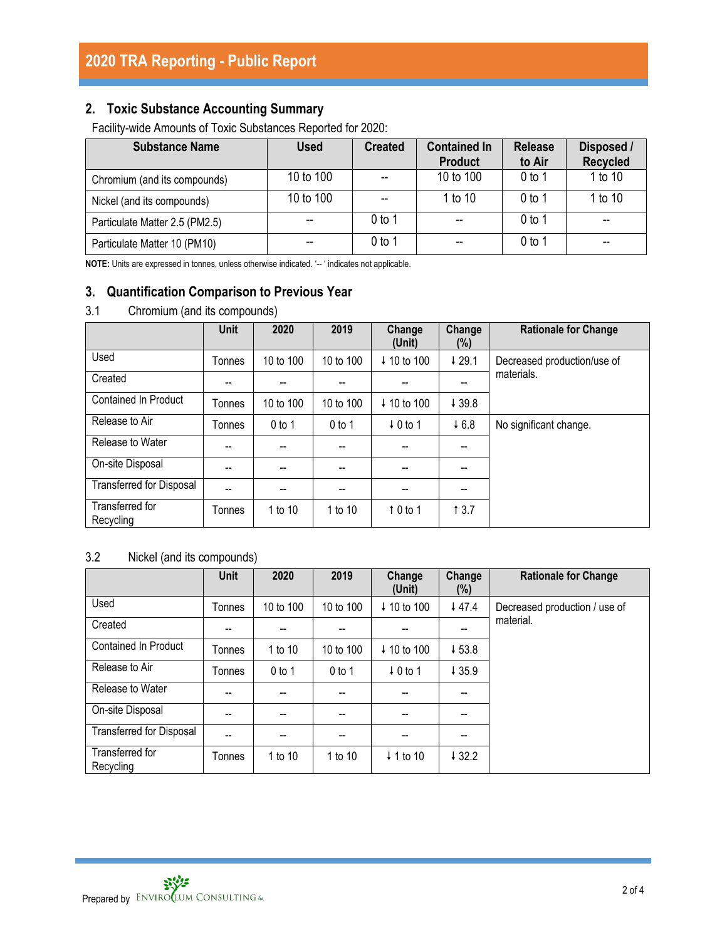# **2. Toxic Substance Accounting Summary**

Facility-wide Amounts of Toxic Substances Reported for 2020:

| <b>Substance Name</b>          | <b>Used</b> | <b>Created</b> | <b>Contained In</b><br><b>Product</b> | <b>Release</b><br>to Air | Disposed /<br><b>Recycled</b> |
|--------------------------------|-------------|----------------|---------------------------------------|--------------------------|-------------------------------|
| Chromium (and its compounds)   | 10 to 100   |                | 10 to 100                             | $0$ to 1                 | 1 to 10                       |
| Nickel (and its compounds)     | 10 to 100   |                | 1 to 10                               | $0$ to 1                 | 1 to 10                       |
| Particulate Matter 2.5 (PM2.5) |             | 0 to 1         | $-$                                   | 0 <sub>to 1</sub>        | --                            |
| Particulate Matter 10 (PM10)   |             | 0 to 1         | $- -$                                 | $0$ to 1                 | --                            |

**NOTE:** Units are expressed in tonnes, unless otherwise indicated. '-- ' indicates not applicable.

# **3. Quantification Comparison to Previous Year**

## 3.1 Chromium (and its compounds)

|                                 | Unit   | 2020      | 2019      | Change<br>(Unit)       | Change<br>(%) | <b>Rationale for Change</b> |
|---------------------------------|--------|-----------|-----------|------------------------|---------------|-----------------------------|
| Used                            | Tonnes | 10 to 100 | 10 to 100 | ↓ 10 to 100            | ↓29.1         | Decreased production/use of |
| Created                         | --     | --        |           | --                     | --            | materials.                  |
| <b>Contained In Product</b>     | Tonnes | 10 to 100 | 10 to 100 | $\downarrow$ 10 to 100 | ↓39.8         |                             |
| Release to Air                  | Tonnes | $0$ to 1  | $0$ to 1  | $\downarrow$ 0 to 1    | 46.8          | No significant change.      |
| Release to Water                | --     | --        | --        | --                     | --            |                             |
| On-site Disposal                | --     | --        |           | --                     |               |                             |
| <b>Transferred for Disposal</b> | --     | --        | --        | --                     | --            |                             |
| Transferred for<br>Recycling    | Tonnes | 1 to 10   | 1 to 10   | $\uparrow$ 0 to 1      | 13.7          |                             |

# 3.2 Nickel (and its compounds)

|                                 | Unit   | 2020                     | 2019      | Change<br>(Unit)       | Change<br>(%) | <b>Rationale for Change</b>   |
|---------------------------------|--------|--------------------------|-----------|------------------------|---------------|-------------------------------|
| Used                            | Tonnes | 10 to 100                | 10 to 100 | $\downarrow$ 10 to 100 | 447.4         | Decreased production / use of |
| Created                         | --     |                          |           |                        |               | material.                     |
| Contained In Product            | Tonnes | 1 to 10                  | 10 to 100 | ↓ 10 to 100            | $+53.8$       |                               |
| Release to Air                  | Tonnes | $0$ to 1                 | $0$ to 1  | $\downarrow$ 0 to 1    | 435.9         |                               |
| Release to Water                | --     | $\overline{\phantom{a}}$ | --        | --                     | --            |                               |
| On-site Disposal                | --     | $-$                      |           |                        | --            |                               |
| <b>Transferred for Disposal</b> | --     | --                       |           |                        |               |                               |
| Transferred for<br>Recycling    | Tonnes | 1 to 10                  | 1 to 10   | $\downarrow$ 1 to 10   | 432.2         |                               |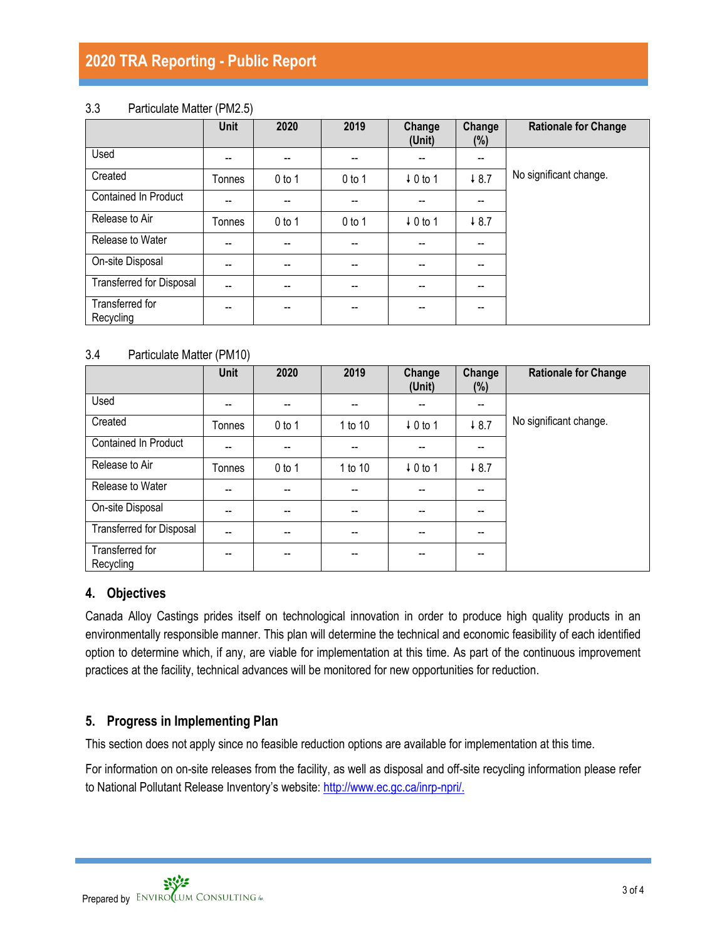# **2020 TRA Reporting - Public Report**

### 3.3 Particulate Matter (PM2.5)

|                                 | <b>Unit</b> | 2020     | 2019     | Change<br>(Unit)    | Change<br>$(\%)$                      | <b>Rationale for Change</b> |
|---------------------------------|-------------|----------|----------|---------------------|---------------------------------------|-----------------------------|
| Used                            | --          | --       | --       | $- -$               | $\overline{\phantom{a}}$              |                             |
| Created                         | Tonnes      | $0$ to 1 | $0$ to 1 | $\downarrow$ 0 to 1 | 48.7                                  | No significant change.      |
| <b>Contained In Product</b>     | --          | --       |          | $- -$               | $- -$                                 |                             |
| Release to Air                  | Tonnes      | $0$ to 1 | $0$ to 1 | $\downarrow$ 0 to 1 | 48.7                                  |                             |
| Release to Water                | $-$         | $-$      | --       | $\hspace{0.05cm}$   | $\overline{\phantom{a}}$              |                             |
| On-site Disposal                | --          | --       |          | $- -$               | $- -$                                 |                             |
| <b>Transferred for Disposal</b> | --          | --       | --       | $-$                 | $-$                                   |                             |
| Transferred for<br>Recycling    | --          | --       | --       | $- -$               | $\hspace{0.05cm}$ – $\hspace{0.05cm}$ |                             |

### 3.4 Particulate Matter (PM10)

|                                 | <b>Unit</b> | 2020                     | 2019                     | Change<br>(Unit)         | Change<br>$(\%)$                      | <b>Rationale for Change</b> |
|---------------------------------|-------------|--------------------------|--------------------------|--------------------------|---------------------------------------|-----------------------------|
| Used                            | --          | $\hspace{0.05cm} \ldots$ | $- -$                    | --                       | $\overline{\phantom{a}}$              |                             |
| Created                         | Tonnes      | $0$ to 1                 | 1 to 10                  | $\downarrow$ 0 to 1      | $\downarrow 8.7$                      | No significant change.      |
| Contained In Product            | $-$         | $-$                      | $\overline{\phantom{a}}$ | --                       | $\overline{\phantom{a}}$              |                             |
| Release to Air                  | Tonnes      | $0$ to 1                 | 1 to 10                  | $\downarrow$ 0 to 1      | 48.7                                  |                             |
| Release to Water                | --          | $- -$                    | --                       | --                       | $\hspace{0.05cm}$ – $\hspace{0.05cm}$ |                             |
| On-site Disposal                | --          | $\overline{\phantom{a}}$ | $\overline{\phantom{a}}$ | $\overline{\phantom{a}}$ | $\overline{\phantom{a}}$              |                             |
| <b>Transferred for Disposal</b> | $-$         | $- -$                    | $- -$                    | --                       | $\hspace{0.05cm}$ – $\hspace{0.05cm}$ |                             |
| Transferred for<br>Recycling    | --          |                          | --                       | --                       | --                                    |                             |

### **4. Objectives**

Canada Alloy Castings prides itself on technological innovation in order to produce high quality products in an environmentally responsible manner. This plan will determine the technical and economic feasibility of each identified option to determine which, if any, are viable for implementation at this time. As part of the continuous improvement practices at the facility, technical advances will be monitored for new opportunities for reduction.

## **5. Progress in Implementing Plan**

This section does not apply since no feasible reduction options are available for implementation at this time.

For information on on-site releases from the facility, as well as disposal and off-site recycling information please refer to National Pollutant Release Inventory's website: [http://www.ec.gc.ca/inrp-npri/.](http://www.ec.gc.ca/inrp-npri/)